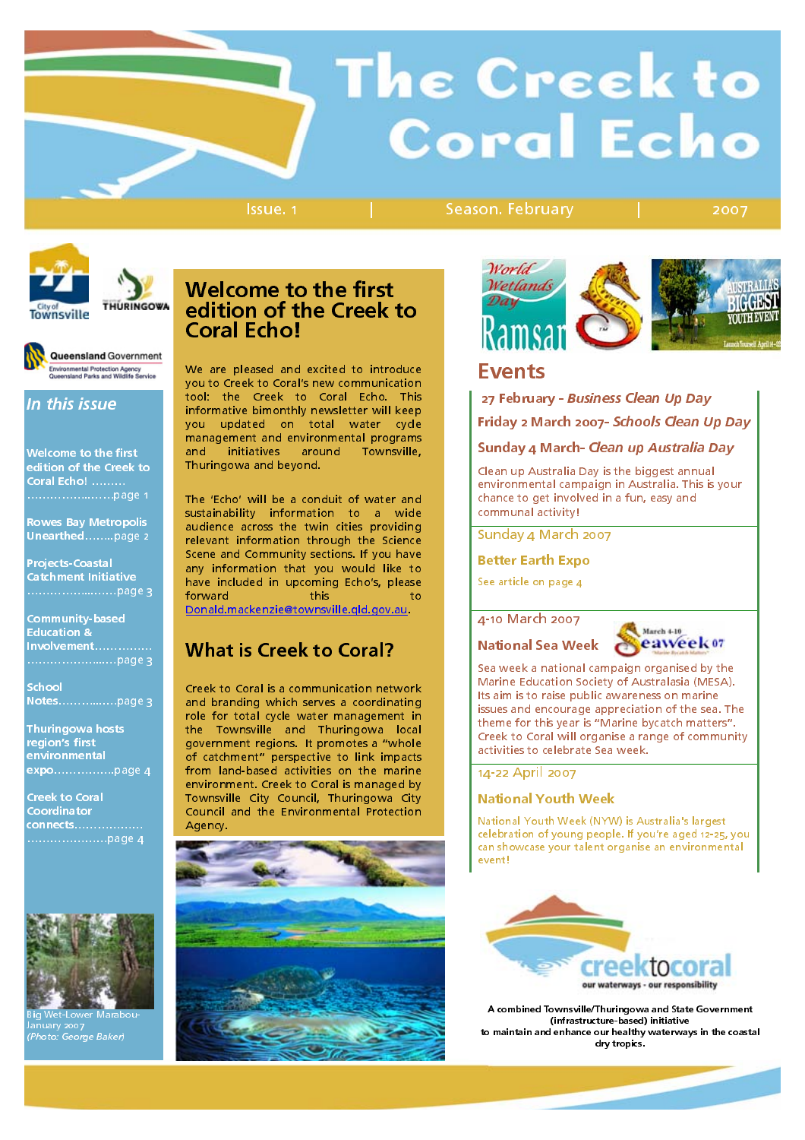# The Creek to **Coral Echo**

Issue. 1 | Season. February | 2007



THURINGOWA **Townsville** 

j

Queensland Government :<br>Invironmental Protection Agency<br>Inconsisted Parks and Wildlife Service

# In this issue

Welcome to the first edition of the Creek to Coral Echo! ....... Coral Echo! ……… ……………..……page 1

**Rowes Bay Metropolis** Rowes Bay Metropolis  $U$ unda unda $U$ <sub>une</sub>arthede 2

**Projects-Coastal** Catchment Initiative Catchment Initiative

……………...……page 3

**Community-based** Education<sub>&</sub> Involvement................ Involvement……………

School School<br>Maria Notes………....…page 3

………………...…page 3

Thuringowa hosts region's first environmental environmental expo…………….page 4

**Creek to Coral** Coordinator Coordinator connects……………… …………………page 4



Big Wet-Lower Marabou-<br>January 2007<br>Chiatry 2007 - Balash (Photo: George Baker)

### Welcome to the first edition of the Creek to Coral Fcho! Coral Echo!

We are pleased and excited to introduce<br>you to Creek to Coral's new communication tool: the Creek to Coral Echo. This informative bimonthly newsletter will keep you updated on total water cycle management and environmental programs management and environmental programs and initiatives around Townsville, Thuringowa and beyond.

The 'Echo' will be a conduit of water and<br>sustainability information to a wide audience across the twin cities providing relevant information through the Science Scene and Community sections. If you have any information that you would like to any information that you would like to have included in upcoming Echo's, please forward the set of  $\alpha$  to this to to to  $\alpha$ 

Donald.mackenzie@townsville.qld.gov.au.

### What is Creek to Coral?

Creek to Coral is a communication network role for total cycle water management in role for total cycle water management in the Townsville and Thuringowa local government regions. It promotes a "whole of catchment" perspective to link impacts from land-based activities on the marine<br>environment. Creek to Coral is managed by Townsville City Council, Thuringowa City Townsville City Council, Thuringowa City Council and the Environmental Protection Agency.





### **Events**

Eventuari<br>Explorituari 27 February - Business Clean Up Day Friday 2 March 2007- Schools Clean Up Day

**Sunday 4 March- Clean up Australia Day**<br>Clean up Australia Day is the biggest annual

 $envi$ ronmental campaign in Australia. This is vour chance to get involved in a fun, easy and chance to get involved in a fun, easy and communal activity!

Sunday 4 March 2007

### Better Earth Expo

See article on page 4

### 4-10 March 2007

National Sea Week



Sea week a national campaign organised by the Its aim is to raise public awareness on marine issues and encourage appreciation of the sea. The theme for this vear is "Marine bycatch matters". Creek to Coral will organise a range of community. Creek to Coral will organise a range of community activities to celebrate Sea week.

### 14-22 April 2007

### National Youth Week

National Youth Week (NYW) is Australia's largest celebration of young people. If you're aged 12-25, you can showcase your talent organise an environmental event!



A combined Townsville/Thuringowa and State Government (infrastructure-based) initiative to maintain and enhance our healthy waterways in the coastal dry tropics.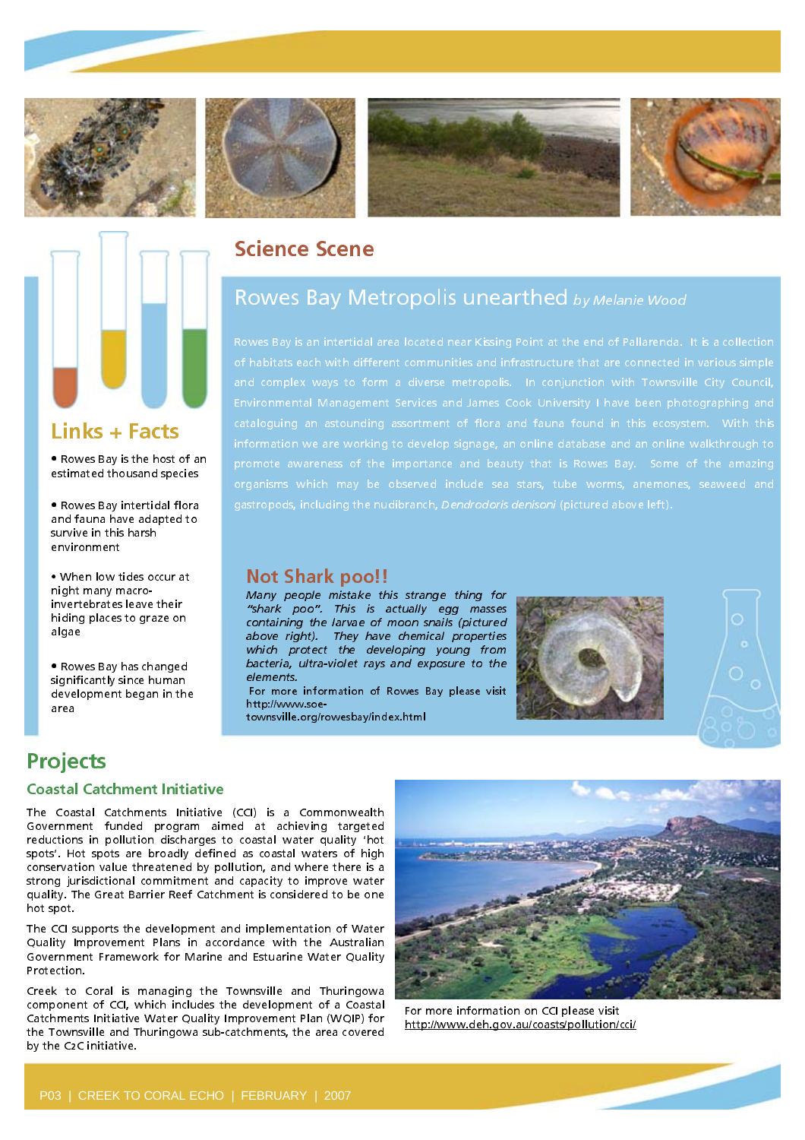

**Links + Facts**<br>• Rowes Bay is the host of an • Rowes Bay is the host of an estimated thousand species

• Rowes Bay intertidal flora

. When low tides occur at night many macroinvertebrates leave their invertebrates leave their hiding places to graze on

• Rowes Bay has changed significantly since human significantly since human. development began in the

survive in this harsh survive in this harsh environment







### Science Scene

# Rowes Bay Metropolis unearthed by Melanie Wood

**Not Shark poo!!**<br>Many people mistake this strange thing for "shark poo". This is actually egg masses containing the larvae of moon snails (pictured above right). They have chemical properties which protect the developing young from which protect the developing young nome bacteria, ultra-violet rays and exposure to the

elements.<br>For more information of Rowes Bay please visit http://www.soe-

townsville.org/rowesbay/index.html





area

algae

# **Projects**<br>Coastal Catchment Initiative

The Coastal Catchments Initiative (CCI) is a Commonwealth Government funded program aimed at achieving targeted reductions in pollution discharges to coastal water quality 'hot spots'. Hot spots are broadly defined as coastal waters of high conservation value threatened by pollution, and where there is a strong jurisdictional commitment and capacity to improve water strong jurisdictional commitment and capacity to improve water quality. The Great Barrier Reef Catchment is considered to be one hot spot.

The CCI supports the development and implementation of Water<br>Ouality Improvement Plans in accordance with the Australian Quality Improvement Plans in accordance with the Australian Government Framework for Marine and Estuarine Water Quality Protection.

Creek to Coral is managing the Townsville and Thuringowa<br>component of CCI, which includes the development of a Coastal Catchments Initiative Water Ouality Improvement Plan (WOIP) for Catchments Initiative Water Quality Improvement Plan (WQIP) for the Townsville and Thuringowa sub-catchments, the area covered by the C2C initiative.



For more information on CCI please visit http://www.deh.gov.au/coasts/pollution/cci/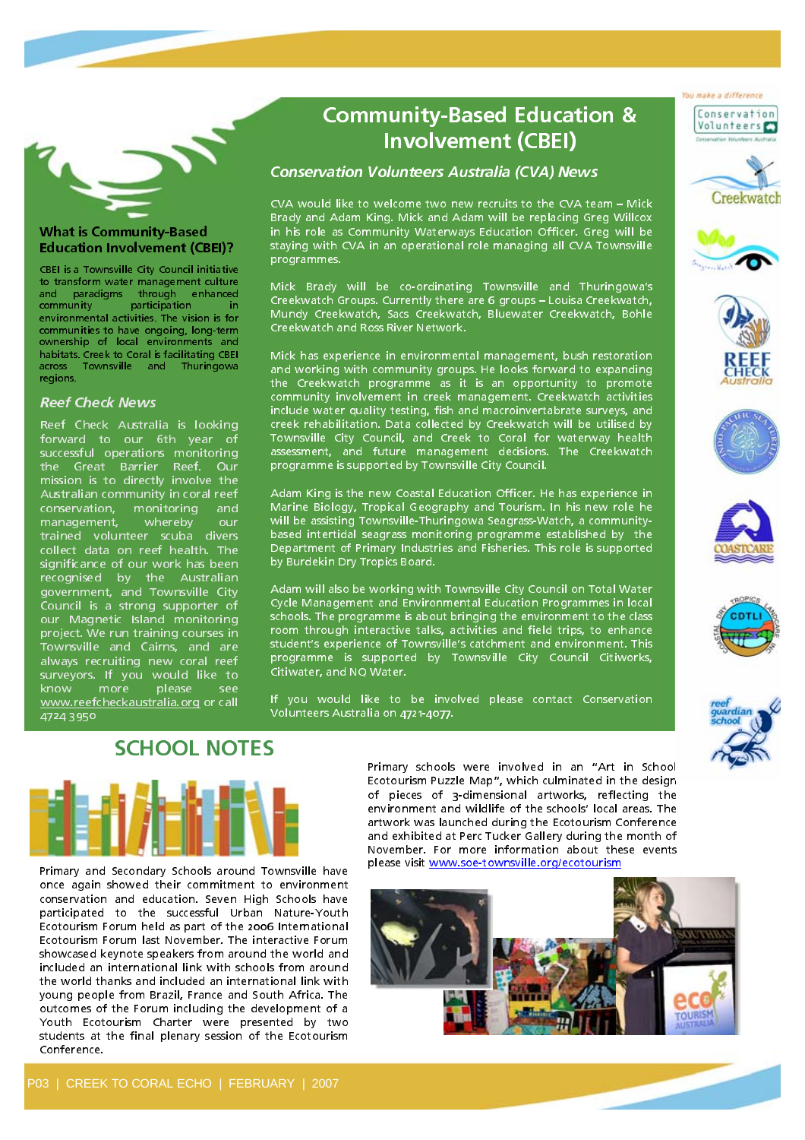

### What is Community-Based Education Involvement (CBEI)?

CBEI is a Townsville City Council initiative to transform water management culture and paradigms through enhanced community participation in<br>environmental activities. The vision is for communities to have ongoing, long-term ownership of local environments and habitats. Creek to Coral is facilitating CBEI habitats. Creek to Coral is facilitating CBEI across Townsville and Thuringowa regions.

### Reef Check News

Reef Check Australia is looking forward to our 6th year of successful operations monitoring the Great Barrier Reef. Our mission is to directly involve the Australian community in coral reef conservation, monitoring and<br>management, whereby our trained volunteer scuba divers collect data on reef health. The significance of our work has been significance of our work has been recognised by the Australian government, and Townsville City Council is a strong supporter of our Magnetic Island monitoring<br>project. We run training courses in project. We run training courses in Townsville and Cairns, and are always recruiting new coral reef surveyors. If you would like to know more piease see www.reefcheckaustralia.org or call 4724 3950

### Community-Based Education & Involvement (CBEI)

### Conservation Volunteers Australia (CVA) News

CVA would like to welcome two new recruits to the CVA team – Mick in his role as Community Waterways Education Officer, Greg will be in his role as Community Waterways Education Officer. Greg will be staying with CVA in an operational role managing all CVA Townsville programmes.

Mick Brady will be co-ordinating Townsville and Thuringowa's Creekwatch Groups. Currently there are 6 groups - Louisa Creekwatch, Creekwatch Groups. Currently there are 6 groups – Louisa Creekwatch, Mundy Creekwatch, Sacs Creekwatch, Bluewater Creekwatch, Bohle Creekwatch and Ross River Network.

Mick has experience in environmental management, bush restoration and working with community groups. He looks forward to expanding the Creekwatch programme as it is an opportunity to promote community involvement in creek management. Creekwatch activities include water quality testing, fish and macroinvertabrate surveys, and creek rehabilitation. Data collected by Creekwatch will be utilised by creek rehabilitation. Data collected by Creekwatch will be utilised by Townsville City Council, and Creek to Coral for waterway health assessment, and future management decisions. The Creekwatch programme is supported by Townsville City Council.

Adam King is the new Coastal Education Officer. He has experience in Marine Biology, Tropical Geography and Tourism. In his new role he will be assisting Townsville-Thuringowa Seagrass-Watch, a communitybased intertidal seagrass monitoring programme established by the based intertidal seagrass monitoring programme established by the Department of Primary Industries and Fisheries. This role is supported by Burdekin Dry Tropics Board.

Adam will also be working with Townsville City Council on Total Water Cycle Management and Environmental Education Programmes in local schools. The programme is about bringing the environment to the class room through interactive talks, activities and field trips, to enhance room through interactive talks, activities and field trips, to enhance student's experience of Townsville's catchment and environment. This<br>This experience of the completed that Thomas ill. City, Channell City, and the programme is supported by Townsville City Council Citiworks, Citiwater, and NQ Water.

.<br>I If you would like to be involved please contact Conservation Volunteers Australia on 4721-4077.



Primary and Secondary Schools around Townsville have conservation and education. Seven High Schools have participated to the successful Urban Nature-Youth Ecotourism Forum held as part of the 2006 International Ecotourism Forum last November. The interactive Forum showcased keynote speakers from around the world and included an international link with schools from around the world thanks and included an international link with young people from Brazil, France and South Africa. The outcomes of the Forum including the development of a Youth Ecotourism Charter were presented by two Youth Ecotourism Charter were presented by two students at the final plenary session of the Ecotourism Conference.

Primary schools were involved in an "Art in Schoole Ecotourism Puzzle Map", which culminated in the design of pieces of 3-dimensional artworks, reflecting the environment and wildlife of the schools' local areas. The artwork was launched during the Ecotourism Conference and exhibited at Perc Tucker Gallery during the month of November. For more information about these events November. For more information about these events





You make a difference